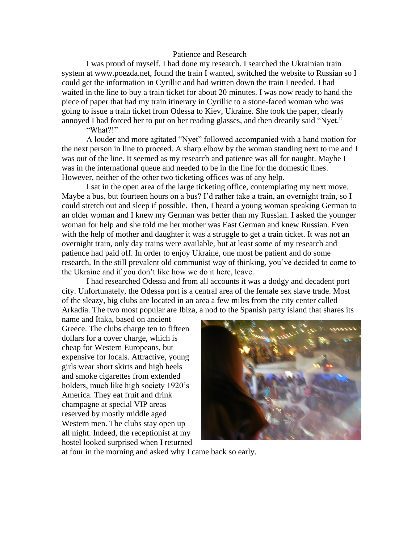## Patience and Research

I was proud of myself. I had done my research. I searched the Ukrainian train system at www.poezda.net, found the train I wanted, switched the website to Russian so I could get the information in Cyrillic and had written down the train I needed. I had waited in the line to buy a train ticket for about 20 minutes. I was now ready to hand the piece of paper that had my train itinerary in Cyrillic to a stone-faced woman who was going to issue a train ticket from Odessa to Kiev, Ukraine. She took the paper, clearly annoyed I had forced her to put on her reading glasses, and then drearily said "Nyet."

"What?!"

A louder and more agitated "Nyet" followed accompanied with a hand motion for the next person in line to proceed. A sharp elbow by the woman standing next to me and I was out of the line. It seemed as my research and patience was all for naught. Maybe I was in the international queue and needed to be in the line for the domestic lines. However, neither of the other two ticketing offices was of any help.

I sat in the open area of the large ticketing office, contemplating my next move. Maybe a bus, but fourteen hours on a bus? I'd rather take a train, an overnight train, so I could stretch out and sleep if possible. Then, I heard a young woman speaking German to an older woman and I knew my German was better than my Russian. I asked the younger woman for help and she told me her mother was East German and knew Russian. Even with the help of mother and daughter it was a struggle to get a train ticket. It was not an overnight train, only day trains were available, but at least some of my research and patience had paid off. In order to enjoy Ukraine, one most be patient and do some research. In the still prevalent old communist way of thinking, you've decided to come to the Ukraine and if you don't like how we do it here, leave.

I had researched Odessa and from all accounts it was a dodgy and decadent port city. Unfortunately, the Odessa port is a central area of the female sex slave trade. Most of the sleazy, big clubs are located in an area a few miles from the city center called Arkadia. The two most popular are Ibiza, a nod to the Spanish party island that shares its

name and Itaka, based on ancient Greece. The clubs charge ten to fifteen dollars for a cover charge, which is cheap for Western Europeans, but expensive for locals. Attractive, young girls wear short skirts and high heels and smoke cigarettes from extended holders, much like high society 1920's America. They eat fruit and drink champagne at special VIP areas reserved by mostly middle aged Western men. The clubs stay open up all night. Indeed, the receptionist at my hostel looked surprised when I returned



at four in the morning and asked why I came back so early.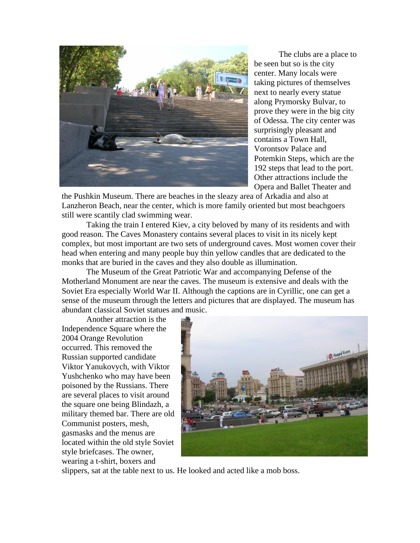

The clubs are a place to be seen but so is the city center. Many locals were taking pictures of themselves next to nearly every statue along Prymorsky Bulvar, to prove they were in the big city of Odessa. The city center was surprisingly pleasant and contains a Town Hall, Vorontsov Palace and Potemkin Steps, which are the 192 steps that lead to the port. Other attractions include the Opera and Ballet Theater and

the Pushkin Museum. There are beaches in the sleazy area of Arkadia and also at Lanzheron Beach, near the center, which is more family oriented but most beachgoers still were scantily clad swimming wear.

Taking the train I entered Kiev, a city beloved by many of its residents and with good reason. The Caves Monastery contains several places to visit in its nicely kept complex, but most important are two sets of underground caves. Most women cover their head when entering and many people buy thin yellow candles that are dedicated to the monks that are buried in the caves and they also double as illumination.

The Museum of the Great Patriotic War and accompanying Defense of the Motherland Monument are near the caves. The museum is extensive and deals with the Soviet Era especially World War II. Although the captions are in Cyrillic, one can get a sense of the museum through the letters and pictures that are displayed. The museum has abundant classical Soviet statues and music.

Another attraction is the Independence Square where the 2004 Orange Revolution occurred. This removed the Russian supported candidate Viktor Yanukovych, with Viktor Yushchenko who may have been poisoned by the Russians. There are several places to visit around the square one being Blindazh, a military themed bar. There are old Communist posters, mesh, gasmasks and the menus are located within the old style Soviet style briefcases. The owner, wearing a t-shirt, boxers and



slippers, sat at the table next to us. He looked and acted like a mob boss.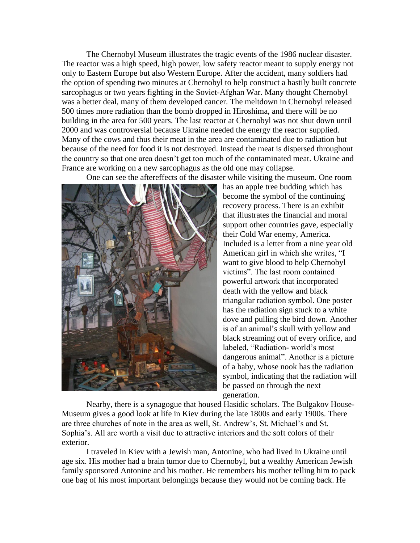The Chernobyl Museum illustrates the tragic events of the 1986 nuclear disaster. The reactor was a high speed, high power, low safety reactor meant to supply energy not only to Eastern Europe but also Western Europe. After the accident, many soldiers had the option of spending two minutes at Chernobyl to help construct a hastily built concrete sarcophagus or two years fighting in the Soviet-Afghan War. Many thought Chernobyl was a better deal, many of them developed cancer. The meltdown in Chernobyl released 500 times more radiation than the bomb dropped in Hiroshima, and there will be no building in the area for 500 years. The last reactor at Chernobyl was not shut down until 2000 and was controversial because Ukraine needed the energy the reactor supplied. Many of the cows and thus their meat in the area are contaminated due to radiation but because of the need for food it is not destroyed. Instead the meat is dispersed throughout the country so that one area doesn't get too much of the contaminated meat. Ukraine and France are working on a new sarcophagus as the old one may collapse.

One can see the aftereffects of the disaster while visiting the museum. One room



has an apple tree budding which has become the symbol of the continuing recovery process. There is an exhibit that illustrates the financial and moral support other countries gave, especially their Cold War enemy, America. Included is a letter from a nine year old American girl in which she writes, "I want to give blood to help Chernobyl victims". The last room contained powerful artwork that incorporated death with the yellow and black triangular radiation symbol. One poster has the radiation sign stuck to a white dove and pulling the bird down. Another is of an animal's skull with yellow and black streaming out of every orifice, and labeled, "Radiation- world's most dangerous animal". Another is a picture of a baby, whose nook has the radiation symbol, indicating that the radiation will be passed on through the next generation.

Nearby, there is a synagogue that housed Hasidic scholars. The Bulgakov House-Museum gives a good look at life in Kiev during the late 1800s and early 1900s. There are three churches of note in the area as well, St. Andrew's, St. Michael's and St. Sophia's. All are worth a visit due to attractive interiors and the soft colors of their exterior.

I traveled in Kiev with a Jewish man, Antonine, who had lived in Ukraine until age six. His mother had a brain tumor due to Chernobyl, but a wealthy American Jewish family sponsored Antonine and his mother. He remembers his mother telling him to pack one bag of his most important belongings because they would not be coming back. He